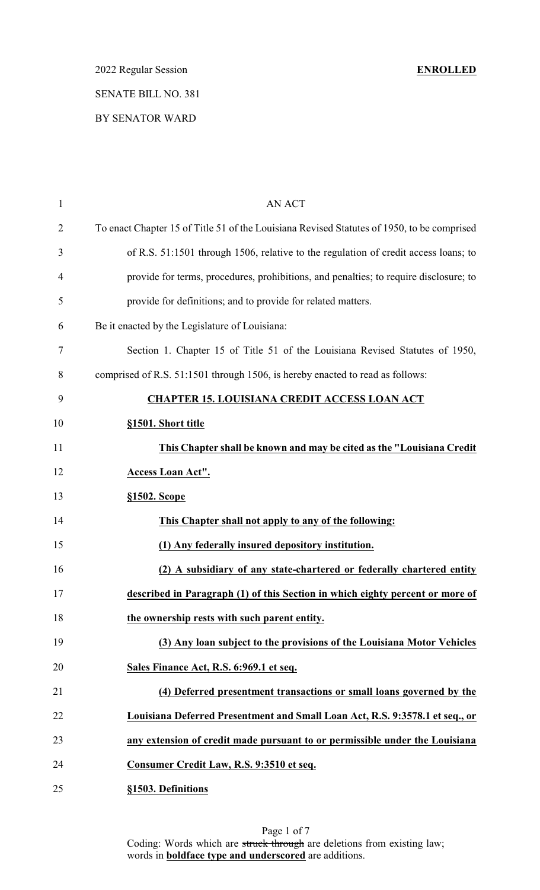# BY SENATOR WARD

| $\mathbf{1}$   | <b>AN ACT</b>                                                                              |
|----------------|--------------------------------------------------------------------------------------------|
| $\overline{2}$ | To enact Chapter 15 of Title 51 of the Louisiana Revised Statutes of 1950, to be comprised |
| 3              | of R.S. 51:1501 through 1506, relative to the regulation of credit access loans; to        |
| 4              | provide for terms, procedures, prohibitions, and penalties; to require disclosure; to      |
| 5              | provide for definitions; and to provide for related matters.                               |
| 6              | Be it enacted by the Legislature of Louisiana:                                             |
| 7              | Section 1. Chapter 15 of Title 51 of the Louisiana Revised Statutes of 1950,               |
| 8              | comprised of R.S. 51:1501 through 1506, is hereby enacted to read as follows:              |
| 9              | <b>CHAPTER 15. LOUISIANA CREDIT ACCESS LOAN ACT</b>                                        |
| 10             | §1501. Short title                                                                         |
| 11             | This Chapter shall be known and may be cited as the "Louisiana Credit"                     |
| 12             | Access Loan Act".                                                                          |
| 13             | §1502. Scope                                                                               |
| 14             | This Chapter shall not apply to any of the following:                                      |
| 15             | (1) Any federally insured depository institution.                                          |
| 16             | (2) A subsidiary of any state-chartered or federally chartered entity                      |
| 17             | described in Paragraph (1) of this Section in which eighty percent or more of              |
| 18             | the ownership rests with such parent entity.                                               |
| 19             | (3) Any loan subject to the provisions of the Louisiana Motor Vehicles                     |
| 20             | Sales Finance Act, R.S. 6:969.1 et seq.                                                    |
| 21             | (4) Deferred presentment transactions or small loans governed by the                       |
| 22             | Louisiana Deferred Presentment and Small Loan Act, R.S. 9:3578.1 et seq., or               |
| 23             | any extension of credit made pursuant to or permissible under the Louisiana                |
| 24             | Consumer Credit Law, R.S. 9:3510 et seq.                                                   |
| 25             | §1503. Definitions                                                                         |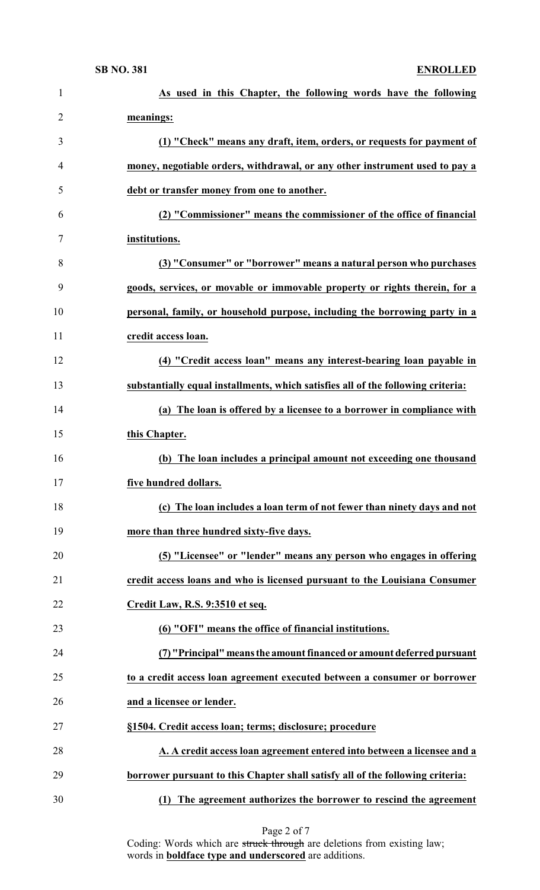| $\mathbf{1}$   | As used in this Chapter, the following words have the following                  |
|----------------|----------------------------------------------------------------------------------|
| $\overline{2}$ | meanings:                                                                        |
| 3              | (1) "Check" means any draft, item, orders, or requests for payment of            |
| 4              | money, negotiable orders, withdrawal, or any other instrument used to pay a      |
| 5              | debt or transfer money from one to another.                                      |
| 6              | (2) "Commissioner" means the commissioner of the office of financial             |
| 7              | institutions.                                                                    |
| 8              | (3) "Consumer" or "borrower" means a natural person who purchases                |
| 9              | goods, services, or movable or immovable property or rights therein, for a       |
| 10             | personal, family, or household purpose, including the borrowing party in a       |
| 11             | credit access loan.                                                              |
| 12             | (4) "Credit access loan" means any interest-bearing loan payable in              |
| 13             | substantially equal installments, which satisfies all of the following criteria: |
| 14             | (a) The loan is offered by a licensee to a borrower in compliance with           |
| 15             | this Chapter.                                                                    |
| 16             | (b) The loan includes a principal amount not exceeding one thousand              |
| 17             | five hundred dollars.                                                            |
| 18             | (c) The loan includes a loan term of not fewer than ninety days and not          |
| 19             | more than three hundred sixty-five days.                                         |
| 20             | (5) "Licensee" or "lender" means any person who engages in offering              |
| 21             | credit access loans and who is licensed pursuant to the Louisiana Consumer       |
| 22             | Credit Law, R.S. 9:3510 et seq.                                                  |
| 23             | (6) "OFI" means the office of financial institutions.                            |
| 24             | (7) "Principal" means the amount financed or amount deferred pursuant            |
| 25             | to a credit access loan agreement executed between a consumer or borrower        |
| 26             | and a licensee or lender.                                                        |
| 27             | §1504. Credit access loan; terms; disclosure; procedure                          |
| 28             | A. A credit access loan agreement entered into between a licensee and a          |
| 29             | borrower pursuant to this Chapter shall satisfy all of the following criteria:   |
| 30             | (1) The agreement authorizes the borrower to rescind the agreement               |

Page 2 of 7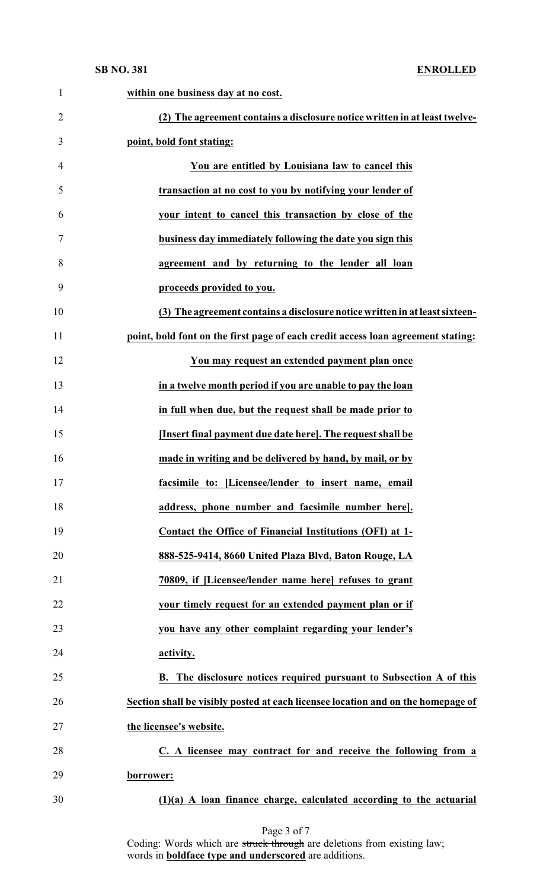**SB NO. 381 ENROLLED**

| $\mathbf{1}$   | within one business day at no cost.                                              |
|----------------|----------------------------------------------------------------------------------|
| $\overline{2}$ | (2) The agreement contains a disclosure notice written in at least twelve-       |
| 3              | point, bold font stating:                                                        |
| 4              | You are entitled by Louisiana law to cancel this                                 |
| 5              | transaction at no cost to you by notifying your lender of                        |
| 6              | your intent to cancel this transaction by close of the                           |
| 7              | business day immediately following the date you sign this                        |
| 8              | agreement and by returning to the lender all loan                                |
| 9              | proceeds provided to you.                                                        |
| 10             | (3) The agreement contains a disclosure notice written in at least sixteen-      |
| 11             | point, bold font on the first page of each credit access loan agreement stating: |
| 12             | You may request an extended payment plan once                                    |
| 13             | in a twelve month period if you are unable to pay the loan                       |
| 14             | in full when due, but the request shall be made prior to                         |
| 15             | [Insert final payment due date here]. The request shall be                       |
| 16             | made in writing and be delivered by hand, by mail, or by                         |
| 17             | facsimile to: [Licensee/lender to insert name, email                             |
| 18             | address, phone number and facsimile number here].                                |
| 19             | Contact the Office of Financial Institutions (OFI) at 1-                         |
| 20             | 888-525-9414, 8660 United Plaza Blvd, Baton Rouge, LA                            |
| 21             | 70809, if [Licensee/lender name here] refuses to grant                           |
| 22             | your timely request for an extended payment plan or if                           |
| 23             | you have any other complaint regarding your lender's                             |
| 24             | activity.                                                                        |
| 25             | B. The disclosure notices required pursuant to Subsection A of this              |
| 26             | Section shall be visibly posted at each licensee location and on the homepage of |
| 27             | the licensee's website.                                                          |
| 28             | C. A licensee may contract for and receive the following from a                  |
| 29             | borrower:                                                                        |
| 30             | $(1)(a)$ A loan finance charge, calculated according to the actuarial            |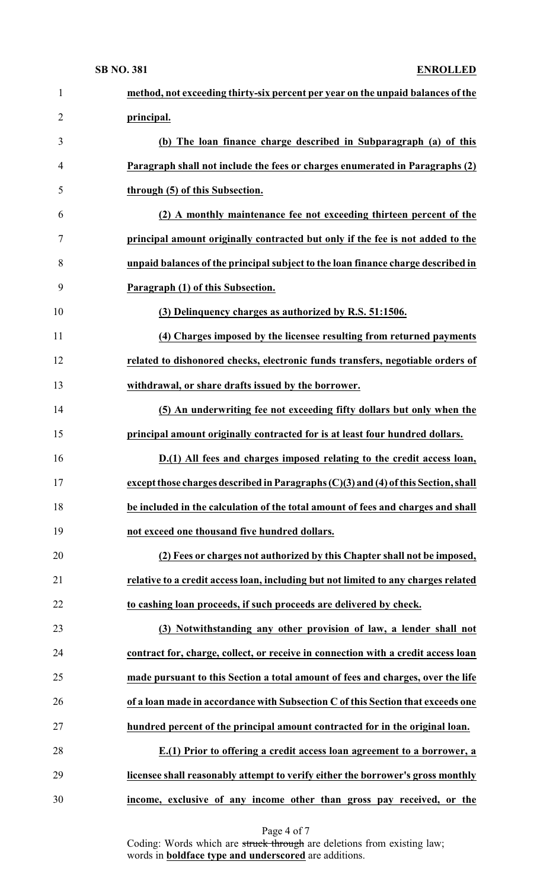### **SB NO. 381 ENROLLED**

| $\mathbf{1}$   | method, not exceeding thirty-six percent per year on the unpaid balances of the    |
|----------------|------------------------------------------------------------------------------------|
| $\overline{2}$ | principal.                                                                         |
| 3              | (b) The loan finance charge described in Subparagraph (a) of this                  |
| $\overline{4}$ | Paragraph shall not include the fees or charges enumerated in Paragraphs (2)       |
| 5              | through (5) of this Subsection.                                                    |
| 6              | (2) A monthly maintenance fee not exceeding thirteen percent of the                |
| $\tau$         | principal amount originally contracted but only if the fee is not added to the     |
| 8              | unpaid balances of the principal subject to the loan finance charge described in   |
| 9              | Paragraph (1) of this Subsection.                                                  |
| 10             | (3) Delinquency charges as authorized by R.S. 51:1506.                             |
| 11             | (4) Charges imposed by the licensee resulting from returned payments               |
| 12             | related to dishonored checks, electronic funds transfers, negotiable orders of     |
| 13             | withdrawal, or share drafts issued by the borrower.                                |
| 14             | (5) An underwriting fee not exceeding fifty dollars but only when the              |
| 15             | principal amount originally contracted for is at least four hundred dollars.       |
| 16             | D.(1) All fees and charges imposed relating to the credit access loan,             |
| 17             | except those charges described in Paragraphs (C)(3) and (4) of this Section, shall |
| 18             | be included in the calculation of the total amount of fees and charges and shall   |
| 19             | not exceed one thousand five hundred dollars.                                      |
| 20             | (2) Fees or charges not authorized by this Chapter shall not be imposed,           |
| 21             | relative to a credit access loan, including but not limited to any charges related |
| 22             | to cashing loan proceeds, if such proceeds are delivered by check.                 |
| 23             | (3) Notwithstanding any other provision of law, a lender shall not                 |
| 24             | contract for, charge, collect, or receive in connection with a credit access loan  |
| 25             | made pursuant to this Section a total amount of fees and charges, over the life    |
| 26             | of a loan made in accordance with Subsection C of this Section that exceeds one    |
| 27             | hundred percent of the principal amount contracted for in the original loan.       |
| 28             | E.(1) Prior to offering a credit access loan agreement to a borrower, a            |
| 29             | licensee shall reasonably attempt to verify either the borrower's gross monthly    |
| 30             | income, exclusive of any income other than gross pay received, or the              |

Page 4 of 7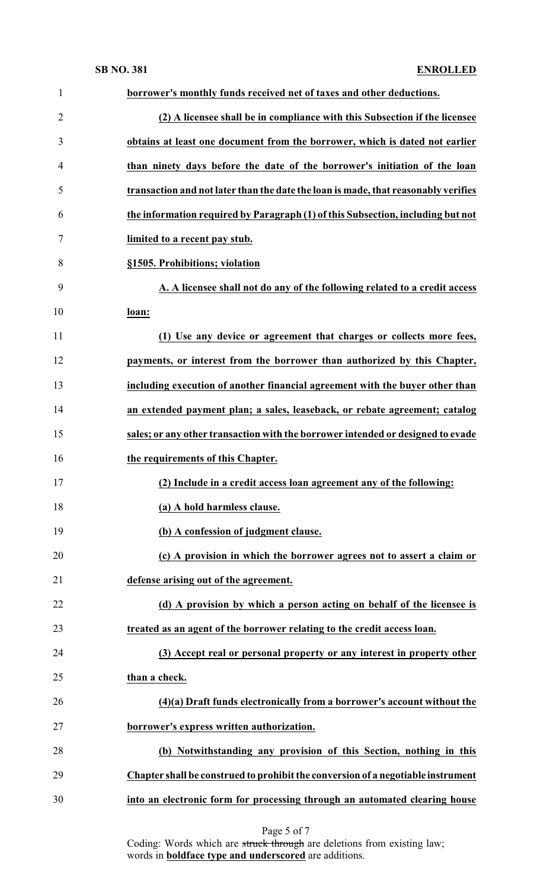| $\mathbf{1}$   | borrower's monthly funds received net of taxes and other deductions.               |
|----------------|------------------------------------------------------------------------------------|
| $\overline{2}$ | (2) A licensee shall be in compliance with this Subsection if the licensee         |
| 3              | obtains at least one document from the borrower, which is dated not earlier        |
| $\overline{4}$ | than ninety days before the date of the borrower's initiation of the loan          |
| 5              | transaction and not later than the date the loan is made, that reasonably verifies |
| 6              | the information required by Paragraph (1) of this Subsection, including but not    |
| 7              | limited to a recent pay stub.                                                      |
| 8              | §1505. Prohibitions; violation                                                     |
| 9              | A. A licensee shall not do any of the following related to a credit access         |
| 10             | loan:                                                                              |
| 11             | (1) Use any device or agreement that charges or collects more fees,                |
| 12             | payments, or interest from the borrower than authorized by this Chapter,           |
| 13             | including execution of another financial agreement with the buyer other than       |
| 14             | an extended payment plan; a sales, leaseback, or rebate agreement; catalog         |
| 15             | sales; or any other transaction with the borrower intended or designed to evade    |
| 16             | the requirements of this Chapter.                                                  |
| 17             | (2) Include in a credit access loan agreement any of the following:                |
| 18             | (a) A hold harmless clause.                                                        |
| 19             | (b) A confession of judgment clause.                                               |
| 20             | (c) A provision in which the borrower agrees not to assert a claim or              |
| 21             | defense arising out of the agreement.                                              |
| 22             | (d) A provision by which a person acting on behalf of the licensee is              |
| 23             | treated as an agent of the borrower relating to the credit access loan.            |
| 24             | (3) Accept real or personal property or any interest in property other             |
| 25             | than a check.                                                                      |
| 26             | $(4)(a)$ Draft funds electronically from a borrower's account without the          |
| 27             | borrower's express written authorization.                                          |
| 28             | (b) Notwithstanding any provision of this Section, nothing in this                 |
| 29             | Chapter shall be construed to prohibit the conversion of a negotiable instrument   |
| 30             | into an electronic form for processing through an automated clearing house         |

Page 5 of 7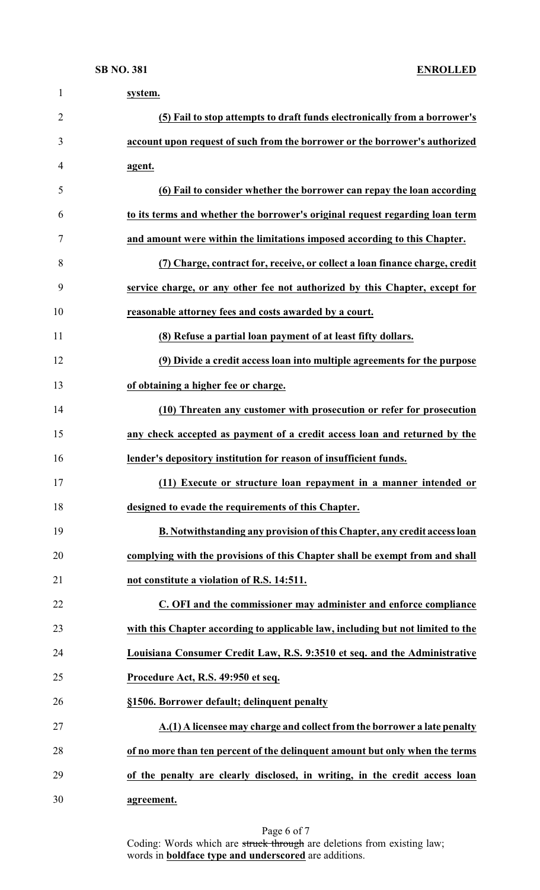| 1              | system.                                                                         |
|----------------|---------------------------------------------------------------------------------|
| $\overline{2}$ | (5) Fail to stop attempts to draft funds electronically from a borrower's       |
| 3              | account upon request of such from the borrower or the borrower's authorized     |
| 4              | agent.                                                                          |
| 5              | (6) Fail to consider whether the borrower can repay the loan according          |
| 6              | to its terms and whether the borrower's original request regarding loan term    |
| 7              | and amount were within the limitations imposed according to this Chapter.       |
| 8              | (7) Charge, contract for, receive, or collect a loan finance charge, credit     |
| 9              | service charge, or any other fee not authorized by this Chapter, except for     |
| 10             | reasonable attorney fees and costs awarded by a court.                          |
| 11             | (8) Refuse a partial loan payment of at least fifty dollars.                    |
| 12             | (9) Divide a credit access loan into multiple agreements for the purpose        |
| 13             | of obtaining a higher fee or charge.                                            |
| 14             | (10) Threaten any customer with prosecution or refer for prosecution            |
| 15             | any check accepted as payment of a credit access loan and returned by the       |
| 16             | lender's depository institution for reason of insufficient funds.               |
| 17             | (11) Execute or structure loan repayment in a manner intended or                |
| 18             | designed to evade the requirements of this Chapter.                             |
| 19             | B. Notwithstanding any provision of this Chapter, any credit access loan        |
| 20             | complying with the provisions of this Chapter shall be exempt from and shall    |
| 21             | not constitute a violation of R.S. 14:511.                                      |
| 22             | C. OFI and the commissioner may administer and enforce compliance               |
| 23             | with this Chapter according to applicable law, including but not limited to the |
| 24             | Louisiana Consumer Credit Law, R.S. 9:3510 et seq. and the Administrative       |
| 25             | Procedure Act, R.S. 49:950 et seq.                                              |
| 26             | §1506. Borrower default; delinquent penalty                                     |
| 27             | A.(1) A licensee may charge and collect from the borrower a late penalty        |
| 28             | of no more than ten percent of the delinquent amount but only when the terms    |
| 29             | of the penalty are clearly disclosed, in writing, in the credit access loan     |
| 30             | agreement.                                                                      |